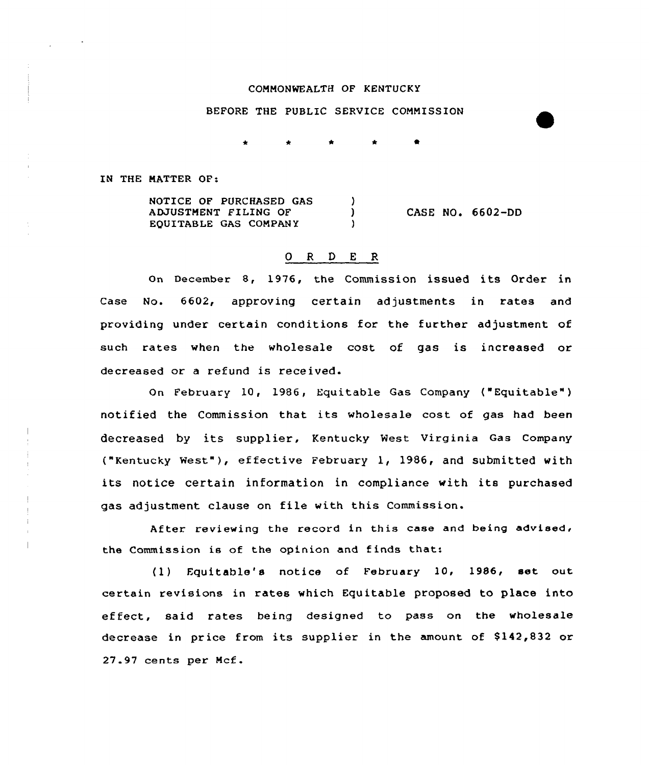## COMMONWEALTH OF KENTUCKY

## BEFORE THE PUBLIC SERVICE COMMISSION

IN THE MATTER OF:

NOTICE OF PURCHASED GAS  $\lambda$ CASE NO. 6602-DD ADJUSTMENT FILING OF  $\mathbf{L}$ EQUITABLE GAS COMPANY  $\mathbf{A}$ 

## 0 R <sup>D</sup> E R

on December 8, 1976, the Commission issued its Order in Case No. 6602, approving certain adjustments in rates and providing under certain conditions for the further adjustment of such rates when the wholesale cost of gas is increased or decreased or a refund is received.

On February 10, 1986, Equitable Gas Company ("Equitable" ) notified the Commission that its wholesale cost of gas had been decreased by its supplier, Kentucky West Virginia Gas Company ("Kentucky west"), effective February 1, 1986, and submitted with its notice certain information in compliance with its purchased gas adjustment clause on file with this Commission.

After reviewing the record in this case and being advised. the Commission is of the opinion and finds that:

(1) Equitable's notice of February 10, 1986, set out certain revisions in rates which Equitable proposed to place into effect, said rates being designed to pass on the wholesale decrease in price from its supplier in the amount of \$142,832 or 27.97 cents per Mcf.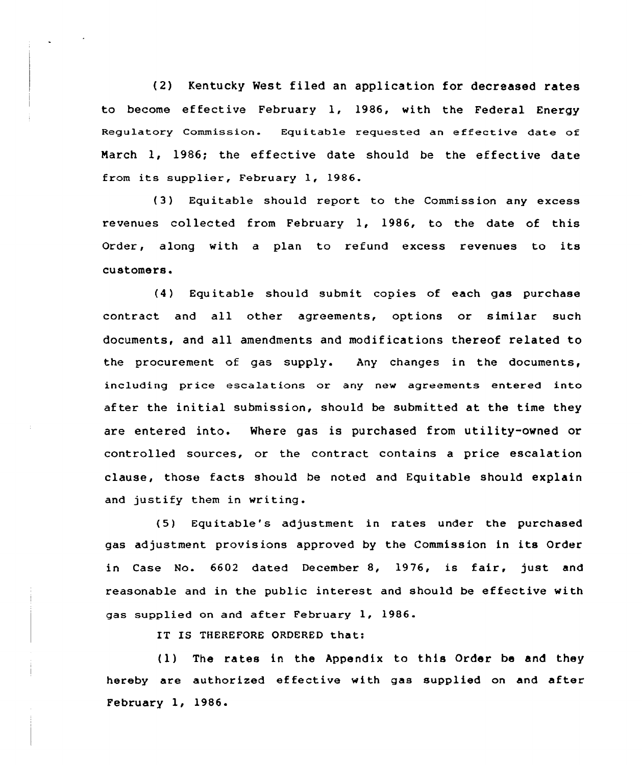(2) Kentucky West filed an application for decreased rates to become effective February 1, 1986, with the Federal Energy Regulatory Commission. Equitable requested an effective date of March 1, 1986; the effective date should be the effective date from its supplier, February 1, 1986.

(3) Equitable should report to the Commission any excess revenues collected from February 1, 1986, to the date of this Order, along with <sup>a</sup> plan to refund excess revenues to its customers.

(4) Equitable should submit copies of each gas purchase contract and all other agreements, options or similar such documents, and all amendments and modifications thereof related to the procurement of gas supply. Any changes in the documents, including price escalations or any new agreements entered into after the initial submission, should be submitted at the time they are entered into. Where gas is purchased from utility-owned or controlled sources, or the contract contains a price escalation clause, those facts should be noted and Equitable should explain and justify them in writing.

(5) Equitable's adjustment in rates under the purchased gas adjustment provisions approved by the Commission in its Order in Case No. 6602 dated December 8, 1976, is fair, just and reasonable and in the public interest and should be effective with gas supplied on and after February 1, 1986.

IT IS THEREFORE ORDERED that:

(1) The rates in the Appendix to this Order be and they hereby are authorized effective with gas supplied on and after February 1, 1986.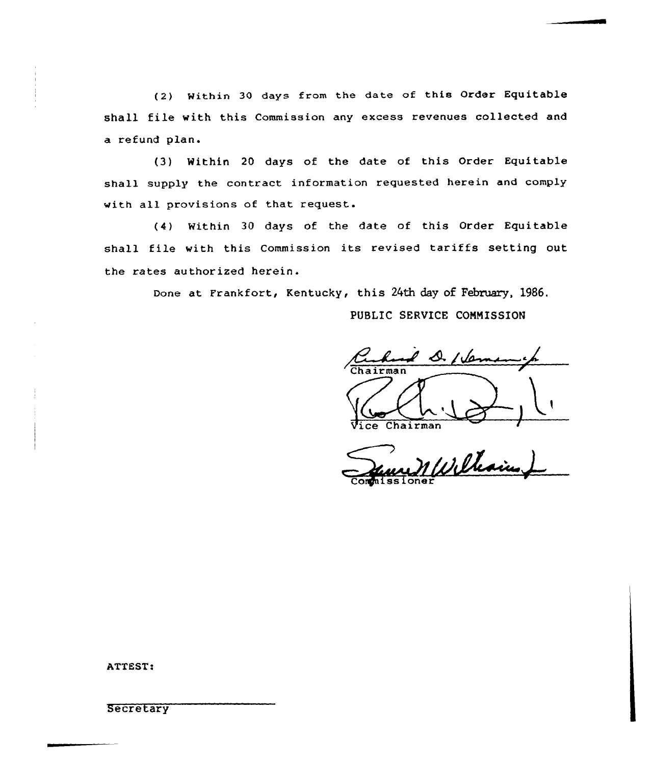(2) within 30 days from the date of this order Equitable shall file with this Commission any excess revenues collected and a refund plan.

(3) Within 20 days of the date of this Order Equitable shall supply the contract information requested herein and comply with all provisions of that request.

(4) Within 30 days of the date of this Order Equitable shall file with this Commission its revised tariffs setting out the rates authorized herein.

Done at Frankfort, Kentucky, this 24th day of February, 1986.

PUBLIC SERVICE CONNISSION

 $\ell$  D. I lem ice Chairman

Commissione

ATTEST:

**Secretary**